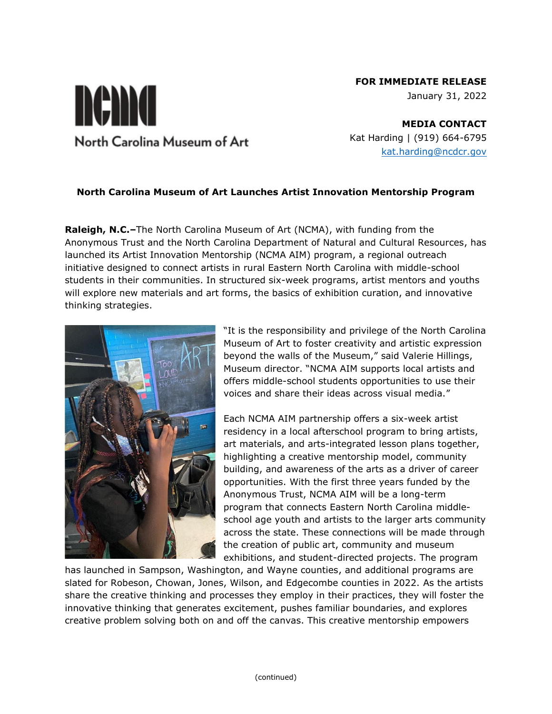# **FOR IMMEDIATE RELEASE**

January 31, 2022

**MEDIA CONTACT** Kat Harding | (919) 664-6795 [kat.harding@ncdcr.gov](mailto:kat.harding@ncdcr.gov)

### **North Carolina Museum of Art Launches Artist Innovation Mentorship Program**

**Raleigh, N.C.–**The North Carolina Museum of Art (NCMA), with funding from the Anonymous Trust and the North Carolina Department of Natural and Cultural Resources, has launched its Artist Innovation Mentorship (NCMA AIM) program, a regional outreach initiative designed to connect artists in rural Eastern North Carolina with middle-school students in their communities. In structured six-week programs, artist mentors and youths will explore new materials and art forms, the basics of exhibition curation, and innovative thinking strategies.



nema

North Carolina Museum of Art

"It is the responsibility and privilege of the North Carolina Museum of Art to foster creativity and artistic expression beyond the walls of the Museum," said Valerie Hillings, Museum director. "NCMA AIM supports local artists and offers middle-school students opportunities to use their voices and share their ideas across visual media."

Each NCMA AIM partnership offers a six-week artist residency in a local afterschool program to bring artists, art materials, and arts-integrated lesson plans together, highlighting a creative mentorship model, community building, and awareness of the arts as a driver of career opportunities. With the first three years funded by the Anonymous Trust, NCMA AIM will be a long-term program that connects Eastern North Carolina middleschool age youth and artists to the larger arts community across the state. These connections will be made through the creation of public art, community and museum exhibitions, and student-directed projects. The program

has launched in Sampson, Washington, and Wayne counties, and additional programs are slated for Robeson, Chowan, Jones, Wilson, and Edgecombe counties in 2022. As the artists share the creative thinking and processes they employ in their practices, they will foster the innovative thinking that generates excitement, pushes familiar boundaries, and explores creative problem solving both on and off the canvas. This creative mentorship empowers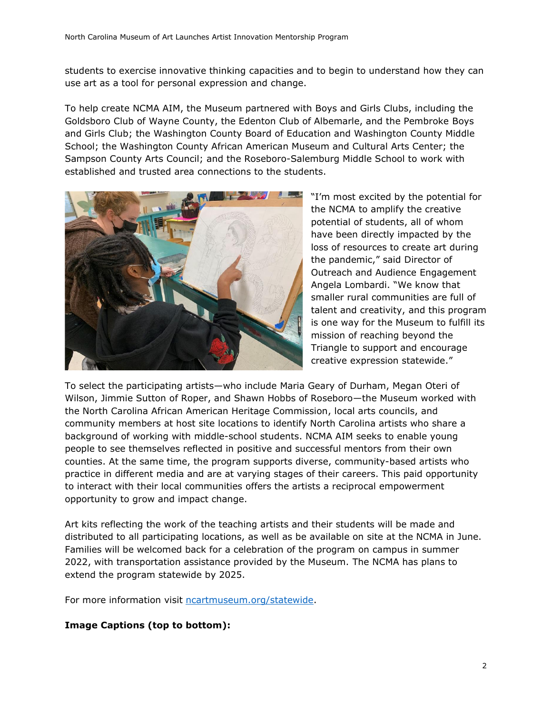students to exercise innovative thinking capacities and to begin to understand how they can use art as a tool for personal expression and change.

To help create NCMA AIM, the Museum partnered with Boys and Girls Clubs, including the Goldsboro Club of Wayne County, the Edenton Club of Albemarle, and the Pembroke Boys and Girls Club; the Washington County Board of Education and Washington County Middle School; the Washington County African American Museum and Cultural Arts Center; the Sampson County Arts Council; and the Roseboro-Salemburg Middle School to work with established and trusted area connections to the students.



"I'm most excited by the potential for the NCMA to amplify the creative potential of students, all of whom have been directly impacted by the loss of resources to create art during the pandemic," said Director of Outreach and Audience Engagement Angela Lombardi. "We know that smaller rural communities are full of talent and creativity, and this program is one way for the Museum to fulfill its mission of reaching beyond the Triangle to support and encourage creative expression statewide."

To select the participating artists—who include Maria Geary of Durham, Megan Oteri of Wilson, Jimmie Sutton of Roper, and Shawn Hobbs of Roseboro—the Museum worked with the North Carolina African American Heritage Commission, local arts councils, and community members at host site locations to identify North Carolina artists who share a background of working with middle-school students. NCMA AIM seeks to enable young people to see themselves reflected in positive and successful mentors from their own counties. At the same time, the program supports diverse, community-based artists who practice in different media and are at varying stages of their careers. This paid opportunity to interact with their local communities offers the artists a reciprocal empowerment opportunity to grow and impact change.

Art kits reflecting the work of the teaching artists and their students will be made and distributed to all participating locations, as well as be available on site at the NCMA in June. Families will be welcomed back for a celebration of the program on campus in summer 2022, with transportation assistance provided by the Museum. The NCMA has plans to extend the program statewide by 2025.

For more information visit [ncartmuseum.org/statewide.](ncartmuseum.org/statewide)

## **Image Captions (top to bottom):**